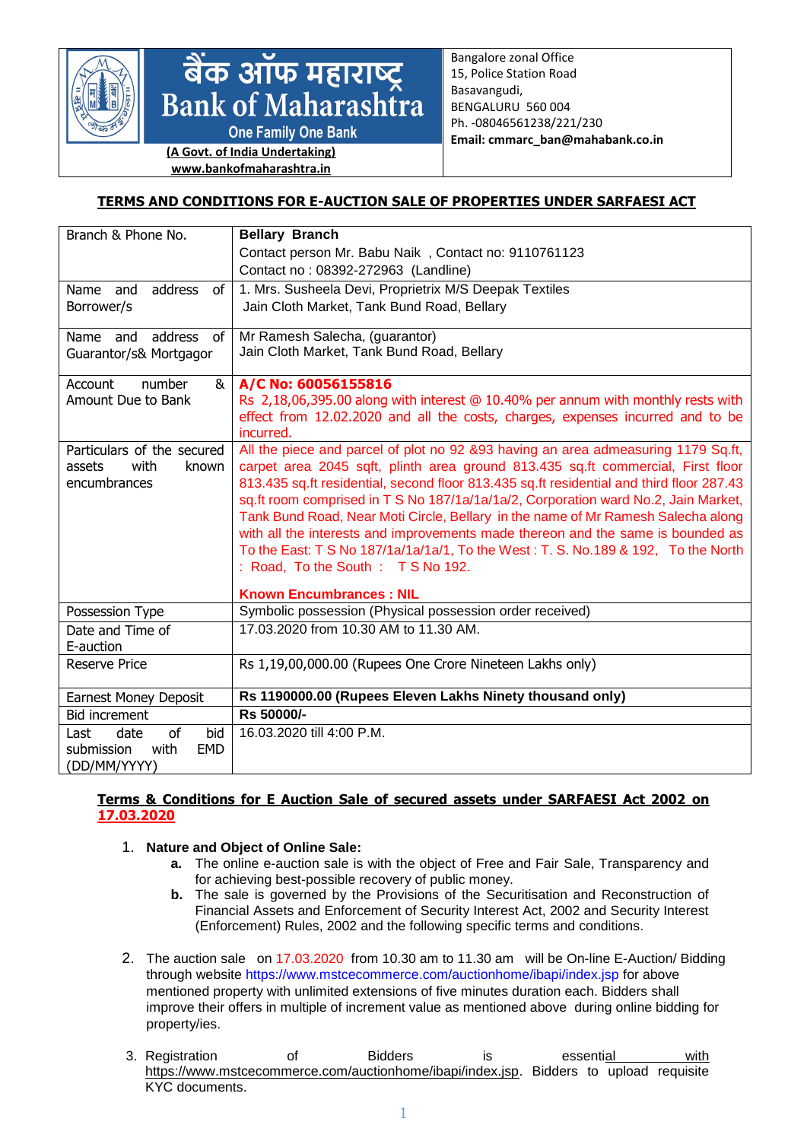

# बैंक ऑफ महाराष्ट्र<br>Bank of Maharashtra

**One Family One Bank** 

**(A Govt. of India Undertaking) www.bankofmaharashtra.in**

Bangalore zonal Office 15, Police Station Road Basavangudi, BENGALURU 560 004 Ph. -08046561238/221/230 **Email: cmmarc\_ban@mahabank.co.in**

# **TERMS AND CONDITIONS FOR E-AUCTION SALE OF PROPERTIES UNDER SARFAESI ACT**

| Branch & Phone No.               | <b>Bellary Branch</b>                                                                                                                                                |
|----------------------------------|----------------------------------------------------------------------------------------------------------------------------------------------------------------------|
|                                  | Contact person Mr. Babu Naik, Contact no: 9110761123                                                                                                                 |
|                                  | Contact no: 08392-272963 (Landline)                                                                                                                                  |
| address<br>Name and<br>of        | 1. Mrs. Susheela Devi, Proprietrix M/S Deepak Textiles                                                                                                               |
| Borrower/s                       | Jain Cloth Market, Tank Bund Road, Bellary                                                                                                                           |
|                                  |                                                                                                                                                                      |
| address<br>0f<br>Name and        | Mr Ramesh Salecha, (guarantor)<br>Jain Cloth Market, Tank Bund Road, Bellary                                                                                         |
| Guarantor/s& Mortgagor           |                                                                                                                                                                      |
| Account<br>number<br>&           | A/C No: 60056155816                                                                                                                                                  |
| Amount Due to Bank               | Rs 2,18,06,395.00 along with interest @ 10.40% per annum with monthly rests with                                                                                     |
|                                  | effect from 12.02.2020 and all the costs, charges, expenses incurred and to be                                                                                       |
|                                  | incurred.                                                                                                                                                            |
| Particulars of the secured       | All the piece and parcel of plot no 92 &93 having an area admeasuring 1179 Sq.ft,                                                                                    |
| with<br>known<br>assets          | carpet area 2045 sqft, plinth area ground 813.435 sq.ft commercial, First floor                                                                                      |
| encumbrances                     | 813.435 sq.ft residential, second floor 813.435 sq.ft residential and third floor 287.43                                                                             |
|                                  | sq.ft room comprised in T S No 187/1a/1a/1a/2, Corporation ward No.2, Jain Market,                                                                                   |
|                                  | Tank Bund Road, Near Moti Circle, Bellary in the name of Mr Ramesh Salecha along                                                                                     |
|                                  | with all the interests and improvements made thereon and the same is bounded as<br>To the East: T S No 187/1a/1a/1a/1, To the West: T. S. No.189 & 192, To the North |
|                                  | : Road, To the South: TS No 192.                                                                                                                                     |
|                                  |                                                                                                                                                                      |
|                                  | <b>Known Encumbrances: NIL</b>                                                                                                                                       |
| Possession Type                  | Symbolic possession (Physical possession order received)                                                                                                             |
| Date and Time of                 | 17.03.2020 from 10.30 AM to 11.30 AM.                                                                                                                                |
| E-auction                        |                                                                                                                                                                      |
| Reserve Price                    | Rs 1,19,00,000.00 (Rupees One Crore Nineteen Lakhs only)                                                                                                             |
|                                  | Rs 1190000.00 (Rupees Eleven Lakhs Ninety thousand only)                                                                                                             |
| <b>Earnest Money Deposit</b>     |                                                                                                                                                                      |
| <b>Bid increment</b>             | Rs 50000/-                                                                                                                                                           |
| of<br>bid<br>date<br>Last        | 16.03.2020 till 4:00 P.M.                                                                                                                                            |
| with<br><b>EMD</b><br>submission |                                                                                                                                                                      |
| (DD/MM/YYYY)                     |                                                                                                                                                                      |

### **Terms & Conditions for E Auction Sale of secured assets under SARFAESI Act 2002 on 17.03.2020**

## 1. **Nature and Object of Online Sale:**

- **a.** The online e-auction sale is with the object of Free and Fair Sale, Transparency and for achieving best-possible recovery of public money.
- **b.** The sale is governed by the Provisions of the Securitisation and Reconstruction of Financial Assets and Enforcement of Security Interest Act, 2002 and Security Interest (Enforcement) Rules, 2002 and the following specific terms and conditions.
- 2. The auction sale on 17.03.2020 from 10.30 am to 11.30 am will be On-line E-Auction/ Bidding through website<https://www.mstcecommerce.com/auctionhome/ibapi/index.jsp> for above mentioned property with unlimited extensions of five minutes duration each. Bidders shall improve their offers in multiple of increment value as mentioned above during online bidding for property/ies.
- 3. Registration of Bidders is essential with [https://www.mstcecommerce.com/auctionhome/ibapi/index.jsp.](https://www.mstcecommerce.com/auctionhome/ibapi/index.jsp) Bidders to upload requisite KYC documents.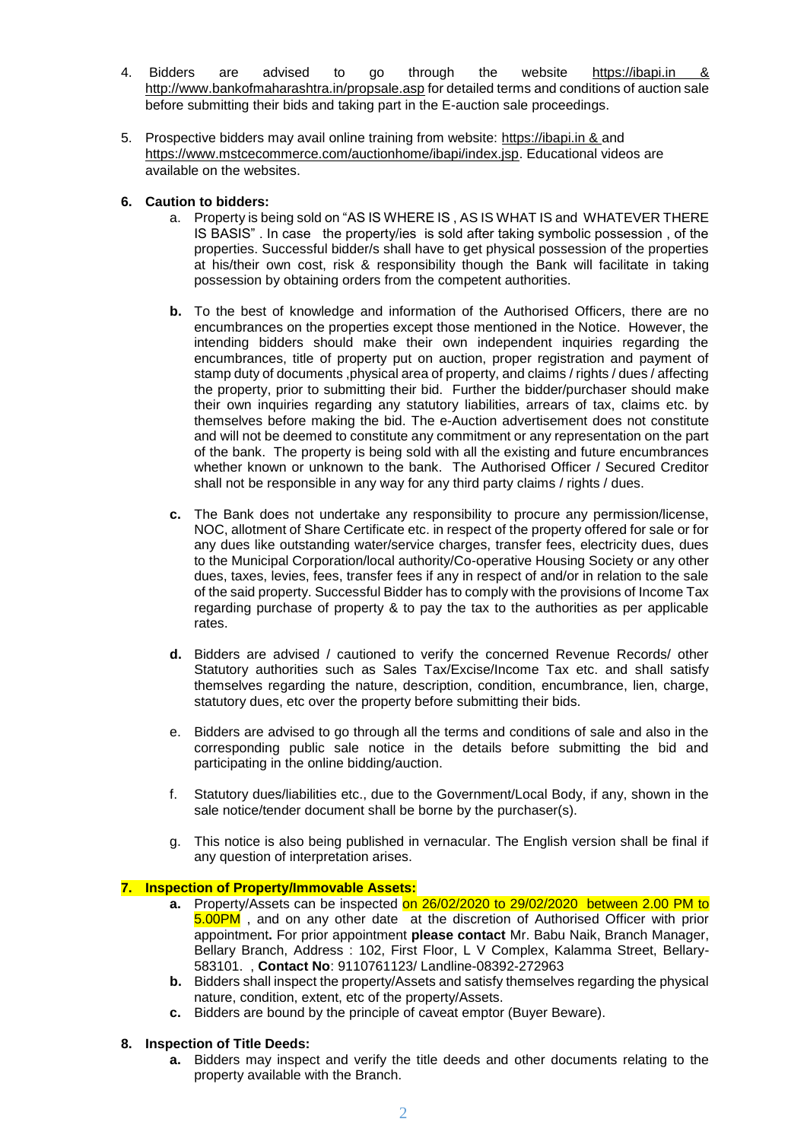- 4. Bidders are advised to go through the website [https://ibapi.in](https://ibapi.in/) & <http://www.bankofmaharashtra.in/propsale.asp> for detailed terms and conditions of auction sale before submitting their bids and taking part in the E-auction sale proceedings.
- 5. Prospective bidders may avail online training from website: [https://ibapi.in](https://ibapi.in/) & and [https://www.mstcecommerce.com/auctionhome/ibapi/index.jsp.](https://www.mstcecommerce.com/auctionhome/ibapi/index.jsp) Educational videos are available on the websites.

### **6. Caution to bidders:**

- a. Property is being sold on "AS IS WHERE IS , AS IS WHAT IS and WHATEVER THERE IS BASIS" . In case the property/ies is sold after taking symbolic possession , of the properties. Successful bidder/s shall have to get physical possession of the properties at his/their own cost, risk & responsibility though the Bank will facilitate in taking possession by obtaining orders from the competent authorities.
- **b.** To the best of knowledge and information of the Authorised Officers, there are no encumbrances on the properties except those mentioned in the Notice. However, the intending bidders should make their own independent inquiries regarding the encumbrances, title of property put on auction, proper registration and payment of stamp duty of documents ,physical area of property, and claims / rights / dues / affecting the property, prior to submitting their bid. Further the bidder/purchaser should make their own inquiries regarding any statutory liabilities, arrears of tax, claims etc. by themselves before making the bid. The e-Auction advertisement does not constitute and will not be deemed to constitute any commitment or any representation on the part of the bank. The property is being sold with all the existing and future encumbrances whether known or unknown to the bank. The Authorised Officer / Secured Creditor shall not be responsible in any way for any third party claims / rights / dues.
- **c.** The Bank does not undertake any responsibility to procure any permission/license, NOC, allotment of Share Certificate etc. in respect of the property offered for sale or for any dues like outstanding water/service charges, transfer fees, electricity dues, dues to the Municipal Corporation/local authority/Co-operative Housing Society or any other dues, taxes, levies, fees, transfer fees if any in respect of and/or in relation to the sale of the said property. Successful Bidder has to comply with the provisions of Income Tax regarding purchase of property & to pay the tax to the authorities as per applicable rates.
- **d.** Bidders are advised / cautioned to verify the concerned Revenue Records/ other Statutory authorities such as Sales Tax/Excise/Income Tax etc. and shall satisfy themselves regarding the nature, description, condition, encumbrance, lien, charge, statutory dues, etc over the property before submitting their bids.
- e. Bidders are advised to go through all the terms and conditions of sale and also in the corresponding public sale notice in the details before submitting the bid and participating in the online bidding/auction.
- f. Statutory dues/liabilities etc., due to the Government/Local Body, if any, shown in the sale notice/tender document shall be borne by the purchaser(s).
- g. This notice is also being published in vernacular. The English version shall be final if any question of interpretation arises.

### **7. Inspection of Property/Immovable Assets:**

- **a.** Property/Assets can be inspected on 26/02/2020 to 29/02/2020 between 2.00 PM to 5.00PM , and on any other date at the discretion of Authorised Officer with prior appointment**.** For prior appointment **please contact** Mr. Babu Naik, Branch Manager, Bellary Branch, Address : 102, First Floor, L V Complex, Kalamma Street, Bellary-583101. , **Contact No**: 9110761123/ Landline-08392-272963
- **b.** Bidders shall inspect the property/Assets and satisfy themselves regarding the physical nature, condition, extent, etc of the property/Assets.
- **c.** Bidders are bound by the principle of caveat emptor (Buyer Beware).

### **8. Inspection of Title Deeds:**

**a.** Bidders may inspect and verify the title deeds and other documents relating to the property available with the Branch.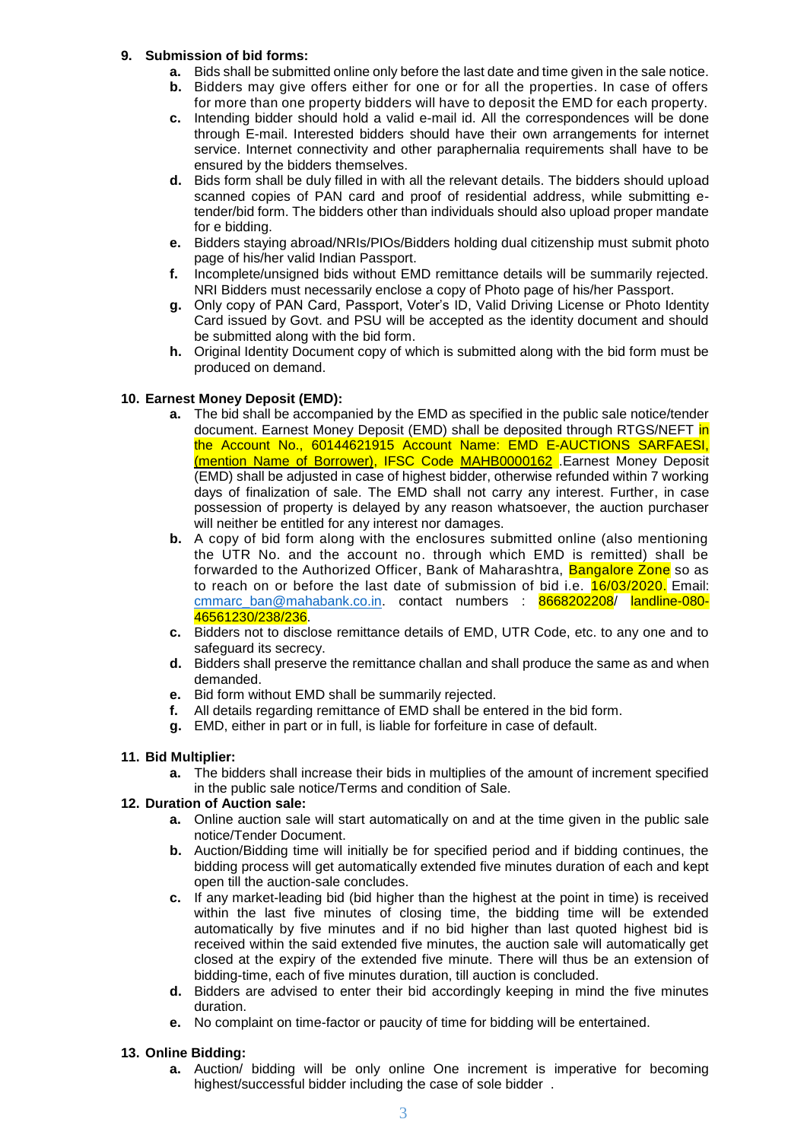### **9. Submission of bid forms:**

- **a.** Bids shall be submitted online only before the last date and time given in the sale notice.
- **b.** Bidders may give offers either for one or for all the properties. In case of offers for more than one property bidders will have to deposit the EMD for each property.
- **c.** Intending bidder should hold a valid e-mail id. All the correspondences will be done through E-mail. Interested bidders should have their own arrangements for internet service. Internet connectivity and other paraphernalia requirements shall have to be ensured by the bidders themselves.
- **d.** Bids form shall be duly filled in with all the relevant details. The bidders should upload scanned copies of PAN card and proof of residential address, while submitting etender/bid form. The bidders other than individuals should also upload proper mandate for e bidding.
- **e.** Bidders staying abroad/NRIs/PIOs/Bidders holding dual citizenship must submit photo page of his/her valid Indian Passport.
- **f.** Incomplete/unsigned bids without EMD remittance details will be summarily rejected. NRI Bidders must necessarily enclose a copy of Photo page of his/her Passport.
- **g.** Only copy of PAN Card, Passport, Voter's ID, Valid Driving License or Photo Identity Card issued by Govt. and PSU will be accepted as the identity document and should be submitted along with the bid form.
- **h.** Original Identity Document copy of which is submitted along with the bid form must be produced on demand.

### **10. Earnest Money Deposit (EMD):**

- **a.** The bid shall be accompanied by the EMD as specified in the public sale notice/tender document. Earnest Money Deposit (EMD) shall be deposited through RTGS/NEFT in the Account No., 60144621915 Account Name: EMD E-AUCTIONS SARFAESI, (mention Name of Borrower), IFSC Code MAHB0000162 .Earnest Money Deposit (EMD) shall be adjusted in case of highest bidder, otherwise refunded within 7 working days of finalization of sale. The EMD shall not carry any interest. Further, in case possession of property is delayed by any reason whatsoever, the auction purchaser will neither be entitled for any interest nor damages.
- **b.** A copy of bid form along with the enclosures submitted online (also mentioning the UTR No. and the account no. through which EMD is remitted) shall be forwarded to the Authorized Officer, Bank of Maharashtra, Bangalore Zone so as to reach on or before the last date of submission of bid i.e. 16/03/2020. Email: [cmmarc\\_ban@mahabank.co.in.](mailto:cmmarc_ban@mahabank.co.in) contact numbers : 8668202208/ landline-080-46561230/238/236.
- **c.** Bidders not to disclose remittance details of EMD, UTR Code, etc. to any one and to safeguard its secrecy.
- **d.** Bidders shall preserve the remittance challan and shall produce the same as and when demanded.
- **e.** Bid form without EMD shall be summarily rejected.
- **f.** All details regarding remittance of EMD shall be entered in the bid form.
- **g.** EMD, either in part or in full, is liable for forfeiture in case of default.

### **11. Bid Multiplier:**

**a.** The bidders shall increase their bids in multiplies of the amount of increment specified in the public sale notice/Terms and condition of Sale.

### **12. Duration of Auction sale:**

- **a.** Online auction sale will start automatically on and at the time given in the public sale notice/Tender Document.
- **b.** Auction/Bidding time will initially be for specified period and if bidding continues, the bidding process will get automatically extended five minutes duration of each and kept open till the auction-sale concludes.
- **c.** If any market-leading bid (bid higher than the highest at the point in time) is received within the last five minutes of closing time, the bidding time will be extended automatically by five minutes and if no bid higher than last quoted highest bid is received within the said extended five minutes, the auction sale will automatically get closed at the expiry of the extended five minute. There will thus be an extension of bidding-time, each of five minutes duration, till auction is concluded.
- **d.** Bidders are advised to enter their bid accordingly keeping in mind the five minutes duration.
- **e.** No complaint on time-factor or paucity of time for bidding will be entertained.

### **13. Online Bidding:**

**a.** Auction/ bidding will be only online One increment is imperative for becoming highest/successful bidder including the case of sole bidder .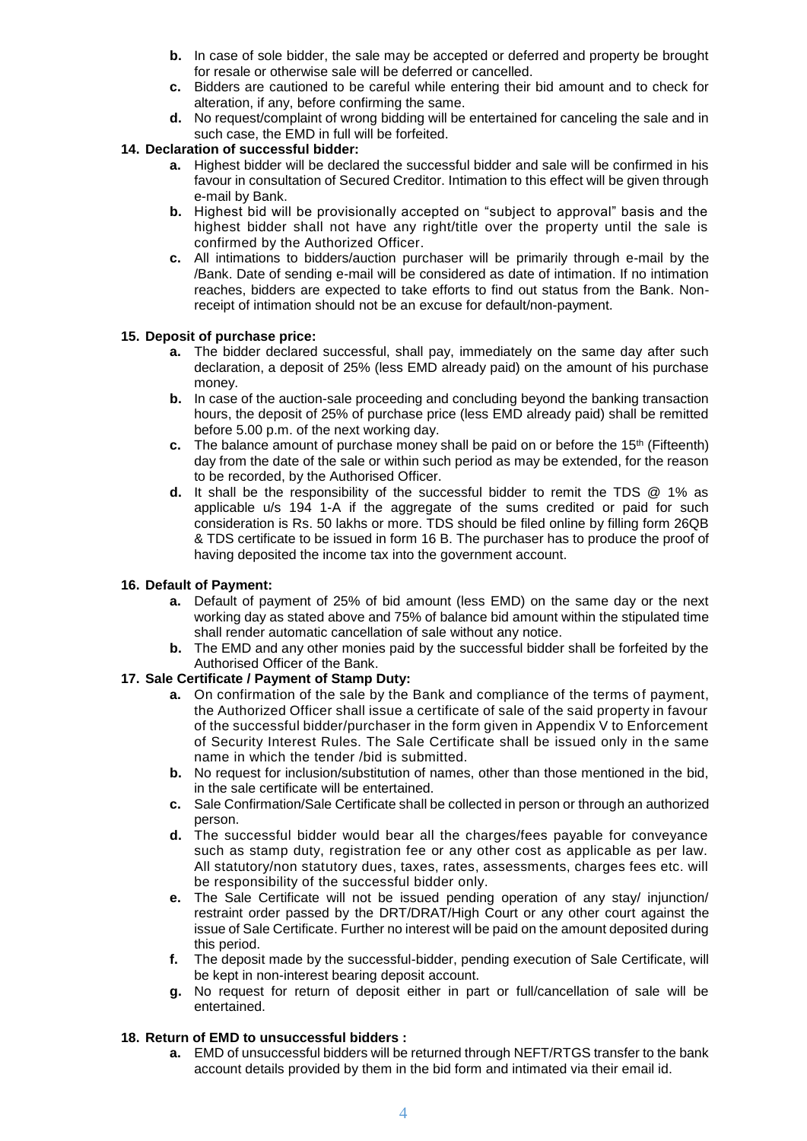- **b.** In case of sole bidder, the sale may be accepted or deferred and property be brought for resale or otherwise sale will be deferred or cancelled.
- **c.** Bidders are cautioned to be careful while entering their bid amount and to check for alteration, if any, before confirming the same.
- **d.** No request/complaint of wrong bidding will be entertained for canceling the sale and in such case, the EMD in full will be forfeited.

### **14. Declaration of successful bidder:**

- **a.** Highest bidder will be declared the successful bidder and sale will be confirmed in his favour in consultation of Secured Creditor. Intimation to this effect will be given through e-mail by Bank.
- **b.** Highest bid will be provisionally accepted on "subject to approval" basis and the highest bidder shall not have any right/title over the property until the sale is confirmed by the Authorized Officer.
- **c.** All intimations to bidders/auction purchaser will be primarily through e-mail by the /Bank. Date of sending e-mail will be considered as date of intimation. If no intimation reaches, bidders are expected to take efforts to find out status from the Bank. Nonreceipt of intimation should not be an excuse for default/non-payment.

### **15. Deposit of purchase price:**

- **a.** The bidder declared successful, shall pay, immediately on the same day after such declaration, a deposit of 25% (less EMD already paid) on the amount of his purchase money.
- **b.** In case of the auction-sale proceeding and concluding beyond the banking transaction hours, the deposit of 25% of purchase price (less EMD already paid) shall be remitted before 5.00 p.m. of the next working day.
- **c.** The balance amount of purchase money shall be paid on or before the 15<sup>th</sup> (Fifteenth) day from the date of the sale or within such period as may be extended, for the reason to be recorded, by the Authorised Officer.
- **d.** It shall be the responsibility of the successful bidder to remit the TDS @ 1% as applicable u/s 194 1-A if the aggregate of the sums credited or paid for such consideration is Rs. 50 lakhs or more. TDS should be filed online by filling form 26QB & TDS certificate to be issued in form 16 B. The purchaser has to produce the proof of having deposited the income tax into the government account.

### **16. Default of Payment:**

- **a.** Default of payment of 25% of bid amount (less EMD) on the same day or the next working day as stated above and 75% of balance bid amount within the stipulated time shall render automatic cancellation of sale without any notice.
- **b.** The EMD and any other monies paid by the successful bidder shall be forfeited by the Authorised Officer of the Bank.

### **17. Sale Certificate / Payment of Stamp Duty:**

- **a.** On confirmation of the sale by the Bank and compliance of the terms of payment, the Authorized Officer shall issue a certificate of sale of the said property in favour of the successful bidder/purchaser in the form given in Appendix V to Enforcement of Security Interest Rules. The Sale Certificate shall be issued only in the same name in which the tender /bid is submitted.
- **b.** No request for inclusion/substitution of names, other than those mentioned in the bid, in the sale certificate will be entertained.
- **c.** Sale Confirmation/Sale Certificate shall be collected in person or through an authorized person.
- **d.** The successful bidder would bear all the charges/fees payable for conveyance such as stamp duty, registration fee or any other cost as applicable as per law. All statutory/non statutory dues, taxes, rates, assessments, charges fees etc. will be responsibility of the successful bidder only.
- **e.** The Sale Certificate will not be issued pending operation of any stay/ injunction/ restraint order passed by the DRT/DRAT/High Court or any other court against the issue of Sale Certificate. Further no interest will be paid on the amount deposited during this period.
- **f.** The deposit made by the successful-bidder, pending execution of Sale Certificate, will be kept in non-interest bearing deposit account.
- **g.** No request for return of deposit either in part or full/cancellation of sale will be entertained.

### **18. Return of EMD to unsuccessful bidders :**

**a.** EMD of unsuccessful bidders will be returned through NEFT/RTGS transfer to the bank account details provided by them in the bid form and intimated via their email id.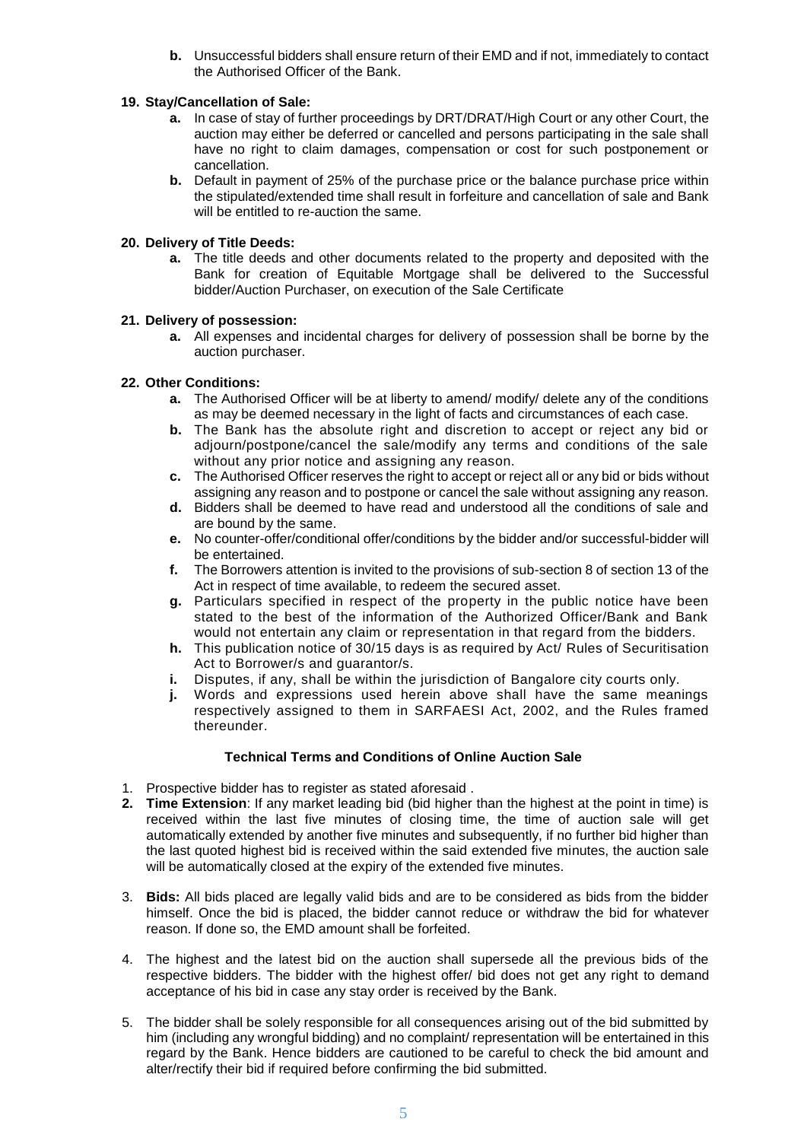**b.** Unsuccessful bidders shall ensure return of their EMD and if not, immediately to contact the Authorised Officer of the Bank.

### **19. Stay/Cancellation of Sale:**

- **a.** In case of stay of further proceedings by DRT/DRAT/High Court or any other Court, the auction may either be deferred or cancelled and persons participating in the sale shall have no right to claim damages, compensation or cost for such postponement or cancellation.
- **b.** Default in payment of 25% of the purchase price or the balance purchase price within the stipulated/extended time shall result in forfeiture and cancellation of sale and Bank will be entitled to re-auction the same.

### **20. Delivery of Title Deeds:**

**a.** The title deeds and other documents related to the property and deposited with the Bank for creation of Equitable Mortgage shall be delivered to the Successful bidder/Auction Purchaser, on execution of the Sale Certificate

### **21. Delivery of possession:**

**a.** All expenses and incidental charges for delivery of possession shall be borne by the auction purchaser.

### **22. Other Conditions:**

- **a.** The Authorised Officer will be at liberty to amend/ modify/ delete any of the conditions as may be deemed necessary in the light of facts and circumstances of each case.
- **b.** The Bank has the absolute right and discretion to accept or reject any bid or adjourn/postpone/cancel the sale/modify any terms and conditions of the sale without any prior notice and assigning any reason.
- **c.** The Authorised Officer reserves the right to accept or reject all or any bid or bids without assigning any reason and to postpone or cancel the sale without assigning any reason.
- **d.** Bidders shall be deemed to have read and understood all the conditions of sale and are bound by the same.
- **e.** No counter-offer/conditional offer/conditions by the bidder and/or successful-bidder will be entertained.
- **f.** The Borrowers attention is invited to the provisions of sub-section 8 of section 13 of the Act in respect of time available, to redeem the secured asset.
- **g.** Particulars specified in respect of the property in the public notice have been stated to the best of the information of the Authorized Officer/Bank and Bank would not entertain any claim or representation in that regard from the bidders.
- **h.** This publication notice of 30/15 days is as required by Act/ Rules of Securitisation Act to Borrower/s and guarantor/s.
- **i.** Disputes, if any, shall be within the jurisdiction of Bangalore city courts only.
- **j.** Words and expressions used herein above shall have the same meanings respectively assigned to them in SARFAESI Act, 2002, and the Rules framed thereunder.

## **Technical Terms and Conditions of Online Auction Sale**

- 1. Prospective bidder has to register as stated aforesaid .
- **2. Time Extension**: If any market leading bid (bid higher than the highest at the point in time) is received within the last five minutes of closing time, the time of auction sale will get automatically extended by another five minutes and subsequently, if no further bid higher than the last quoted highest bid is received within the said extended five minutes, the auction sale will be automatically closed at the expiry of the extended five minutes.
- 3. **Bids:** All bids placed are legally valid bids and are to be considered as bids from the bidder himself. Once the bid is placed, the bidder cannot reduce or withdraw the bid for whatever reason. If done so, the EMD amount shall be forfeited.
- 4. The highest and the latest bid on the auction shall supersede all the previous bids of the respective bidders. The bidder with the highest offer/ bid does not get any right to demand acceptance of his bid in case any stay order is received by the Bank.
- 5. The bidder shall be solely responsible for all consequences arising out of the bid submitted by him (including any wrongful bidding) and no complaint/ representation will be entertained in this regard by the Bank. Hence bidders are cautioned to be careful to check the bid amount and alter/rectify their bid if required before confirming the bid submitted.